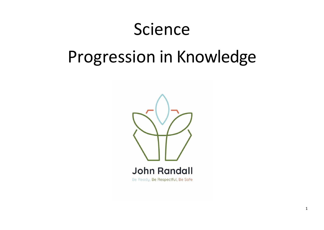## Science

# Progression in Knowledge

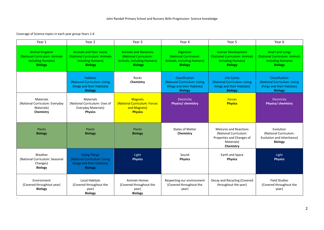### Coverage of Science topics in each year group Years 1-6

.

| Year 1                                                                                 | Year 2                                                                                               | Year <sub>3</sub>                                                                                            | Year 4                                                                                           | Year 5                                                                                                         | Year 6                                                                                                |
|----------------------------------------------------------------------------------------|------------------------------------------------------------------------------------------------------|--------------------------------------------------------------------------------------------------------------|--------------------------------------------------------------------------------------------------|----------------------------------------------------------------------------------------------------------------|-------------------------------------------------------------------------------------------------------|
| Animal Kingdom<br>(National Curriculum: Animals<br>including Humans)<br><b>Biology</b> | Animals and their needs<br>(National Curriculum: Animals<br>including Humans)<br><b>Biology</b>      | <b>Animals and Skeletons</b><br>(National Curriculum:<br><b>Animals, including Humans)</b><br><b>Biology</b> | <b>Digestion</b><br>(National Curriculum:<br><b>Animals, including Humans)</b><br><b>Biology</b> | <b>Human Development</b><br>(National Curriculum: Animals<br>including Humans)<br><b>Biology</b>               | <b>Heart and Lungs</b><br>(National Curriculum: Animals<br>including Humans)<br><b>Biology</b>        |
|                                                                                        | <b>Habitats</b><br>(National Curriculum: Living<br>things and their Habitats)<br><b>Biology</b>      | Rocks<br>Chemistry                                                                                           | Classification<br>(National Curriculum: Living<br>things and their Habitats)<br><b>Biology</b>   | <b>Life Cycles</b><br>(National Curriculum: Living<br>things and their Habitats)<br><b>Biology</b>             | <b>Classification</b><br>(National Curriculum: Living<br>things and their Habitats)<br><b>Biology</b> |
| Materials<br>(National Curriculum: Everyday<br>Materials)<br>Chemistry                 | <b>Materials</b><br>(National Curriculum: Uses of<br>Everyday Materials)<br><b>Physics</b>           | <b>Magnets</b><br>(National Curriculum: Forces<br>and Magnets)<br><b>Physics</b>                             | Electricity<br>Physics/ chemistry                                                                | <b>Forces</b><br><b>Physics</b>                                                                                | Electricity<br>Physics/ chemistry                                                                     |
| Plants<br><b>Biology</b>                                                               | Plants<br><b>Biology</b>                                                                             | Plants<br><b>Biology</b>                                                                                     | <b>States of Matter</b><br>Chemistry                                                             | <b>Mixtures and Reactions</b><br>(National Curriculum:<br>Properties and Changes of<br>Materials)<br>Chemistry | Evolution<br>(National Curriculum:<br>Evolution and Inheritance)<br><b>Biology</b>                    |
| Weather<br>(National Curriculum: Seasonal<br>Changes)<br><b>Biology</b>                | <b>Living Things</b><br>(National Curriculum: Living<br>things and their Habitats)<br><b>Biology</b> | Light<br><b>Physics</b>                                                                                      | Sound<br><b>Physics</b>                                                                          | Earth and Space<br><b>Physics</b>                                                                              | Light<br><b>Physics</b>                                                                               |
| Environment<br>(Covered throughout year)<br><b>Biology</b>                             | <b>Local Habitats</b><br>(Covered throughout the<br>year)<br><b>Biology</b>                          | <b>Animals Homes</b><br>(Covered throughout the<br>year)<br><b>Biology</b>                                   | Respecting our environment<br>(Covered throughout the<br>year)                                   | Decay and Recycling (Covered<br>throughout the year)                                                           | <b>Field Studies</b><br>(Covered throughout the<br>year)                                              |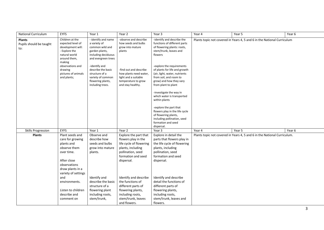| <b>National Curriculum</b>                      | <b>EYFS</b>                                                                                                                                                                                | Year 1                                                                                                                                                                                                                                        | Year 2                                                                                                                                                                                             | Year 3                                                                                                                                                                                                                                                                                                                                                                                                                                                                                                                                     | Year 4 | Year 5                                                                   | Year 6 |
|-------------------------------------------------|--------------------------------------------------------------------------------------------------------------------------------------------------------------------------------------------|-----------------------------------------------------------------------------------------------------------------------------------------------------------------------------------------------------------------------------------------------|----------------------------------------------------------------------------------------------------------------------------------------------------------------------------------------------------|--------------------------------------------------------------------------------------------------------------------------------------------------------------------------------------------------------------------------------------------------------------------------------------------------------------------------------------------------------------------------------------------------------------------------------------------------------------------------------------------------------------------------------------------|--------|--------------------------------------------------------------------------|--------|
| <b>Plants</b><br>Pupils should be taught<br>to: | Children at the<br>expected level of<br>development will:<br>- Explore the<br>natural world<br>around them,<br>making<br>observations and<br>drawing<br>pictures of animals<br>and plants; | - identify and name<br>a variety of<br>common wild and<br>garden plants,<br>including deciduous<br>and evergreen trees<br>-identify and<br>describe the basic<br>structure of a<br>variety of common<br>flowering plants,<br>including trees. | -observe and describe<br>how seeds and bulbs<br>grow into mature<br>plants<br>-find out and describe<br>how plants need water,<br>light and a suitable<br>temperature to grow<br>and stay healthy. | -identify and describe the<br>functions of different parts<br>of flowering plants: roots,<br>stem/trunk, leaves and<br>flowers<br>-explore the requirements<br>of plants for life and growth<br>(air, light, water, nutrients<br>from soil, and room to<br>grow) and how they vary<br>from plant to plant<br>-investigate the way in<br>which water is transported<br>within plants<br>-explore the part that<br>flowers play in the life cycle<br>of flowering plants,<br>including pollination, seed<br>formation and seed<br>dispersal. |        | Plants topic not covered in Years 4, 5 and 6 in the National Curriculum  |        |
| <b>Skills Progression</b>                       | <b>EYFS</b>                                                                                                                                                                                | Year 1                                                                                                                                                                                                                                        | Year 2                                                                                                                                                                                             | Year 3                                                                                                                                                                                                                                                                                                                                                                                                                                                                                                                                     | Year 4 | Year 5                                                                   | Year 6 |
| <b>Plants</b>                                   | Plant seeds and<br>care for growing<br>plants and<br>observe them<br>over time.<br>After close<br>observations<br>draw plants in a<br>variety of settings                                  | Observe and<br>describe how<br>seeds and bulbs<br>grow into mature<br>plants.                                                                                                                                                                 | Explore the part that<br>flowers play in the<br>life cycle of flowering<br>plants, including<br>pollination, seed<br>formation and seed<br>dispersal.                                              | Explore in detail the<br>parts that flowers play in<br>the life cycle of flowering<br>plants, including<br>pollination, seed<br>formation and seed<br>dispersal.                                                                                                                                                                                                                                                                                                                                                                           |        | Plants topic not covered in Years 4, 5 and 6 in the National Curriculum. |        |
|                                                 | and<br>environments.<br>Listen to children<br>describe and<br>comment on                                                                                                                   | Identify and<br>describe the basic<br>structure of a<br>flowering plant<br>including roots,<br>stem/trunk,                                                                                                                                    | Identify and describe<br>the functions of<br>different parts of<br>flowering plants,<br>including roots,<br>stem/trunk, leaves<br>and flowers.                                                     | Identify and describe<br>detail the functions of<br>different parts of<br>flowering plants,<br>including roots,<br>stem/trunk, leaves and<br>flowers.                                                                                                                                                                                                                                                                                                                                                                                      |        |                                                                          |        |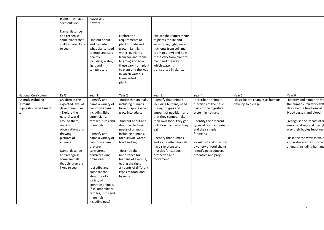|                                                                                                    | plants they have<br>seen outside.<br>Name, describe<br>and recognise<br>some plants that<br>children are likely<br>to see.                                                                                                                                                               | leaves and<br>flowers.<br>Find out about<br>and describe<br>what plants need<br>to grow and stay<br>healthy,<br>including, water,<br>light and<br>temperature.                                                                                                                                                                                                                                                    | Explore the<br>requirements of<br>plants for life and<br>growth (air, light,<br>water, nutrients<br>from soil and room<br>to grow) and how<br>these vary from plant<br>to plant and the way<br>in which water is<br>transported in<br>plants.                                                                                                                           | Explore the requirements<br>of plants for life and<br>growth (air, light, water,<br>nutrients from soil and<br>room to grow) and how<br>these vary from plant to<br>plant and the way in<br>which water is<br>transported in plants.                                                                                                  |                                                                                                                                                                                                                                                                                                         |                                                                 |                                                                                                                                                                                                                                                                                                                |
|----------------------------------------------------------------------------------------------------|------------------------------------------------------------------------------------------------------------------------------------------------------------------------------------------------------------------------------------------------------------------------------------------|-------------------------------------------------------------------------------------------------------------------------------------------------------------------------------------------------------------------------------------------------------------------------------------------------------------------------------------------------------------------------------------------------------------------|-------------------------------------------------------------------------------------------------------------------------------------------------------------------------------------------------------------------------------------------------------------------------------------------------------------------------------------------------------------------------|---------------------------------------------------------------------------------------------------------------------------------------------------------------------------------------------------------------------------------------------------------------------------------------------------------------------------------------|---------------------------------------------------------------------------------------------------------------------------------------------------------------------------------------------------------------------------------------------------------------------------------------------------------|-----------------------------------------------------------------|----------------------------------------------------------------------------------------------------------------------------------------------------------------------------------------------------------------------------------------------------------------------------------------------------------------|
| National Curriculum<br><b>Animals Including</b><br><b>Humans</b><br>Pupils should be taught<br>to: | <b>EYFS</b><br>Children at the<br>expected level of<br>development will:<br>- Explore the<br>natural world<br>around them,<br>making<br>observations and<br>drawing<br>pictures of<br>animals.<br>Name, describe<br>and recognise<br>some animals<br>that children are<br>likely to see. | Year 1<br>-identify and<br>name a variety of<br>common animals<br>including fish,<br>amphibians,<br>reptiles, birds and<br>mammals<br>-identify and<br>name a variety of<br>common animals<br>that are<br>carnivores,<br>herbivores and<br>omnivores<br>-describe and<br>compare the<br>structure of a<br>variety of<br>common animals<br>(fish, amphibians,<br>reptiles, birds and<br>mammals<br>including pets) | Year 2<br>-notice that animals,<br>including humans,<br>have offspring which<br>grow into adults<br>-find out about and<br>describe the basic<br>needs of animals,<br>including humans,<br>for survival (water,<br>food and air)<br>-describe the<br>importance for<br>humans of exercise,<br>eating the right<br>amounts of different<br>types of food, and<br>hygiene | Year 3<br>-identify that animals,<br>including humans, need<br>the right types and<br>amount of nutrition, and<br>that they cannot make<br>their own food; they get<br>nutrition from what they<br>eat<br>-identify that humans<br>and some other animals<br>have skeletons and<br>muscles for support,<br>protection and<br>movement | Year 4<br>-describe the simple<br>functions of the basic<br>parts of the digestive<br>system in humans<br>-identify the different<br>types of teeth in humans<br>and their simple<br>functions<br>-construct and interpret<br>a variety of food chains,<br>identifying producers,<br>predators and prey | Year 5<br>-describe the changes as humans<br>develop to old age | Year 6<br>-identify and name the ma<br>the human circulatory syst<br>describe the functions of t<br>blood vessels and blood<br>-recognise the impact of d<br>exercise, drugs and lifestyl<br>way their bodies function<br>-describe the ways in whic<br>and water are transported<br>animals, including humans |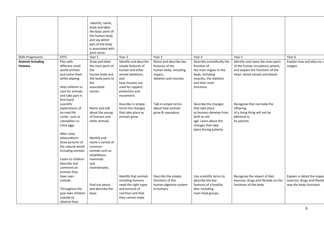|                           |                                                                                                                                                               | -identify, name,<br>draw and label<br>the basic parts of<br>the human body<br>and say which<br>part of the body<br>is associated with<br>each sense |                                                                                                                              |                                                                                 |                                                                                                                                                         |                                                                                                           |                                                                                        |
|---------------------------|---------------------------------------------------------------------------------------------------------------------------------------------------------------|-----------------------------------------------------------------------------------------------------------------------------------------------------|------------------------------------------------------------------------------------------------------------------------------|---------------------------------------------------------------------------------|---------------------------------------------------------------------------------------------------------------------------------------------------------|-----------------------------------------------------------------------------------------------------------|----------------------------------------------------------------------------------------|
| <b>Skills Progression</b> | <b>EYFS</b>                                                                                                                                                   | Year 1                                                                                                                                              | Year 2                                                                                                                       | Year 3                                                                          | Year 4                                                                                                                                                  | Year 5                                                                                                    | Year 6                                                                                 |
| <b>Animals including</b>  | Play with                                                                                                                                                     | Draw and label                                                                                                                                      | Identify and describe                                                                                                        | Name and describe key                                                           | Describe scientifically the                                                                                                                             | Identify and name the main parts                                                                          | Explain how and why our r                                                              |
| <b>Humans</b>             | different small<br>world animals<br>and name them<br>whilst playing.<br>Help children to<br>care for animals                                                  | the main parts of<br>the<br>human body and<br>link body parts to<br>the<br>associated<br>senses.                                                    | simple features of<br>human and other<br>animal skeletons,<br>and<br>how muscles are<br>used for support,<br>protection and  | features of the<br>human body, including<br>organs,<br>skeleton and muscles.    | function of<br>the main organs in the<br>body, including<br>muscles, the skeleton<br>and their main<br>functions.                                       | of the human circulatory system,<br>and explain the functions of the<br>heart, blood vessels and blood.   | oxygen.                                                                                |
|                           | and take part in<br>first-hand                                                                                                                                |                                                                                                                                                     | movement.                                                                                                                    |                                                                                 |                                                                                                                                                         |                                                                                                           |                                                                                        |
|                           | scientific<br>explorations of<br>an-imal life<br>cycles, such as<br>caterpillars or<br>chick eggs.                                                            | Name and talk<br>about the young<br>of humans and<br>other animals.                                                                                 | Describe in simple<br>terms the changes<br>that take place as<br>animals grow.                                               | Talk in simple terms<br>about how animals<br>grow & reproduce.                  | Describe the changes<br>that take place<br>as humans develop from<br>birth to old<br>age. Learn about the<br>changes that take<br>place during puberty. | Recognise that normally the<br>offspring<br>of a living thing will not be<br>identical to<br>its parents. |                                                                                        |
|                           | After close<br>observations<br>draw pictures of<br>the natural world<br>including animals<br>Listen to children<br>describe and<br>comment on<br>animals they | Identify and<br>name a variety of<br>common<br>animals such as<br>amphibians,<br>mammals<br>and<br>invertebrates.                                   |                                                                                                                              |                                                                                 |                                                                                                                                                         |                                                                                                           |                                                                                        |
|                           | have seen<br>outside.<br>Throughout the<br>year take children<br>outside to<br>observe how                                                                    | Find out about<br>and describe the<br>basic                                                                                                         | Identify that animals<br>including humans<br>need the right types<br>and amount of<br>nutrition and that<br>they cannot make | Describe the simple<br>functions of the<br>human digestive system<br>in humans. | Use scientific terms to<br>describe the key<br>features of a healthy<br>diet, including<br>main food groups.                                            | Recognise the impact of diet,<br>exercise, drugs and lifestyle on the<br>functions of the body            | Explain in detail the impac<br>exercise, drugs and lifestyl<br>way the body functions. |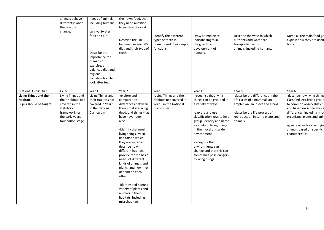|                                                                                     | animals behave<br>differently when<br>the seasons<br>change.                                                                   | needs of animals<br>including humans<br>for<br>survival (water,<br>food and air).<br>Describe the<br>importance for<br>humans of<br>exercise, a<br>balanced diet and<br>hygiene,<br>including how to<br>look after teeth. | their own food, that<br>they need nutrition<br>from what they eat.<br>Describe the link<br>between an animal's<br>diet and their type of<br>teeth.                                                                                                                                                                                                                                                                                                                                                          | Identify the different<br>types of teeth in<br>humans and their simple<br>functions.       | Draw a timeline to<br>indicate stages in<br>the growth and<br>development of<br>humans.                                                                                                                                                                                                                                                          | Describe the ways in which<br>nutrients and water are<br>transported within<br>animals, including humans.                                                                         | Name all the main food gre<br>explain how they are used<br>body.                                                                                                                                                                                                    |
|-------------------------------------------------------------------------------------|--------------------------------------------------------------------------------------------------------------------------------|---------------------------------------------------------------------------------------------------------------------------------------------------------------------------------------------------------------------------|-------------------------------------------------------------------------------------------------------------------------------------------------------------------------------------------------------------------------------------------------------------------------------------------------------------------------------------------------------------------------------------------------------------------------------------------------------------------------------------------------------------|--------------------------------------------------------------------------------------------|--------------------------------------------------------------------------------------------------------------------------------------------------------------------------------------------------------------------------------------------------------------------------------------------------------------------------------------------------|-----------------------------------------------------------------------------------------------------------------------------------------------------------------------------------|---------------------------------------------------------------------------------------------------------------------------------------------------------------------------------------------------------------------------------------------------------------------|
| National Curriculum                                                                 | <b>EYFS</b>                                                                                                                    | Year 1                                                                                                                                                                                                                    | Year 2                                                                                                                                                                                                                                                                                                                                                                                                                                                                                                      | Year 3                                                                                     | Year 4                                                                                                                                                                                                                                                                                                                                           | Year 5                                                                                                                                                                            | Year 6                                                                                                                                                                                                                                                              |
| <b>Living Things and their</b><br><b>Habitats</b><br>Pupils should be taught<br>to: | Living Things and<br>their Habitats not<br>covered in the<br>statutory<br>framework for<br>the early years<br>foundation stage | Living Things and<br>their Habitats not<br>covered in Year 1<br>in the National<br>Curriculum                                                                                                                             | -explore and<br>compare the<br>differences between<br>things that are living,<br>dead, and things that<br>have never been<br>alive<br>-identify that most<br>living things live in<br>habitats to which<br>they are suited and<br>describe how<br>different habitats<br>provide for the basic<br>needs of different<br>kinds of animals and<br>plants, and how they<br>depend on each<br>other<br>-identify and name a<br>variety of plants and<br>animals in their<br>habitats, including<br>microhabitats | Living Things and their<br>Habitats not covered in<br>Year 3 in the National<br>Curriculum | -recognise that living<br>things can be grouped in<br>a variety of ways<br>-explore and use<br>classification keys to help<br>group, identify and name<br>a variety of living things<br>in their local and wider<br>environment<br>-recognise that<br>environments can<br>change and that this can<br>sometimes pose dangers<br>to living things | -describe the differences in the<br>life cycles of a mammal, an<br>amphibian, an insect and a bird<br>-describe the life process of<br>reproduction in some plants and<br>animals | -describe how living things<br>classified into broad group<br>to common observable cha<br>and based on similarities a<br>differences, including micr<br>organisms, plants and anin<br>-give reasons for classifying<br>animals based on specific<br>characteristics |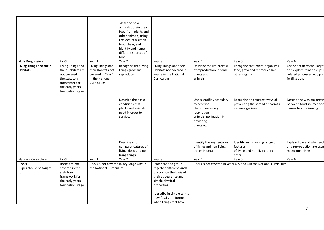|                                                   |                                                                                                                                    |                                                                                               | -describe how<br>animals obtain their<br>food from plants and<br>other animals, using<br>the idea of a simple<br>food chain, and<br>identify and name<br>different sources of<br>food |                                                                                                                                                                                                                     |                                                                                                                                           |                                                                                              |                                                                                                               |
|---------------------------------------------------|------------------------------------------------------------------------------------------------------------------------------------|-----------------------------------------------------------------------------------------------|---------------------------------------------------------------------------------------------------------------------------------------------------------------------------------------|---------------------------------------------------------------------------------------------------------------------------------------------------------------------------------------------------------------------|-------------------------------------------------------------------------------------------------------------------------------------------|----------------------------------------------------------------------------------------------|---------------------------------------------------------------------------------------------------------------|
| <b>Skills Progression</b>                         | <b>EYFS</b>                                                                                                                        | Year 1                                                                                        | Year 2                                                                                                                                                                                | Year 3                                                                                                                                                                                                              | Year 4                                                                                                                                    | Year 5                                                                                       | Year 6                                                                                                        |
| <b>Living Things and their</b><br><b>Habitats</b> | Living Things and<br>their Habitats are<br>not covered in<br>the statutory<br>framework for<br>the early years<br>foundation stage | Living Things and<br>their Habitats not<br>covered in Year 1<br>in the National<br>Curriculum | Recognise that living<br>things grow and<br>reproduce.                                                                                                                                | Living Things and their<br>Habitats not covered in<br>Year 3 in the National<br>Curriculum                                                                                                                          | Describe the life process<br>of reproduction in some<br>plants and<br>animals.                                                            | Recognise that micro-organisms<br>feed, grow and reproduce like<br>other organisms.          | Use scientific vocabulary to<br>and explore relationships I<br>related processes, e.g. poll<br>fertilisation. |
|                                                   |                                                                                                                                    |                                                                                               | Describe the basic<br>conditions that<br>plants and animals<br>need in order to<br>survive.                                                                                           |                                                                                                                                                                                                                     | Use scientific vocabulary<br>to describe<br>life processes, e.g.<br>respiration in<br>animals, pollination in<br>flowering<br>plants etc. | Recognise and suggest ways of<br>preventing the spread of harmful<br>micro-organisms.        | Describe how micro-organ<br>between food sources and<br>causes food poisoning.                                |
|                                                   |                                                                                                                                    |                                                                                               | Describe and<br>compare features of<br>living, dead and non-<br>living things.                                                                                                        |                                                                                                                                                                                                                     | Identify the key features<br>of living and non-living<br>things in detail                                                                 | Identify an increasing range of<br>features<br>of living and non-living things in<br>detail. | Explain how and why feed<br>and reproduction are esse<br>micro-organisms.                                     |
| <b>National Curriculum</b>                        | <b>EYFS</b>                                                                                                                        | Year 1                                                                                        | Year 2                                                                                                                                                                                | Year 3                                                                                                                                                                                                              | Year 4                                                                                                                                    | Year 5                                                                                       | Year 6                                                                                                        |
| <b>Rocks</b><br>Pupils should be taught<br>to:    | Rocks are not<br>covered in the<br>statutory<br>framework for<br>the early years<br>foundation stage                               | the National Curriculum                                                                       | Rocks is not covered in Key Stage One in                                                                                                                                              | -compare and group<br>together different kinds<br>of rocks on the basis of<br>their appearance and<br>simple physical<br>properties<br>-describe in simple terms<br>how fossils are formed<br>when things that have |                                                                                                                                           | Rocks is not covered in years 4, 5 and 6 in the National Curriculum.                         |                                                                                                               |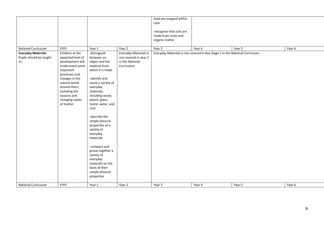|                           |                   |                   |                       | lived are trapped within  |                                                                              |        |        |
|---------------------------|-------------------|-------------------|-----------------------|---------------------------|------------------------------------------------------------------------------|--------|--------|
|                           |                   |                   |                       | rock                      |                                                                              |        |        |
|                           |                   |                   |                       |                           |                                                                              |        |        |
|                           |                   |                   |                       | -recognise that soils are |                                                                              |        |        |
|                           |                   |                   |                       | made from rocks and       |                                                                              |        |        |
|                           |                   |                   |                       | organic matter            |                                                                              |        |        |
|                           |                   |                   |                       |                           |                                                                              |        |        |
| National Curriculum       | <b>EYFS</b>       | Year 1            | Year 2                | Year 3                    | Year 4                                                                       | Year 5 | Year 6 |
| <b>Everyday Materials</b> | Children at the   | -distinguish      | Everyday Materials is |                           | Everyday Materials is not covered in Key Stage 2 in the National Curriculum. |        |        |
| Pupils should be taught   | expected level of | between an        | not covered in year 2 |                           |                                                                              |        |        |
| to:                       | development will: | object and the    | in the National       |                           |                                                                              |        |        |
|                           |                   | material from     | Curriculum.           |                           |                                                                              |        |        |
|                           | Understand some   |                   |                       |                           |                                                                              |        |        |
|                           | important         | which it is made  |                       |                           |                                                                              |        |        |
|                           | processes and     |                   |                       |                           |                                                                              |        |        |
|                           | changes in the    | -identify and     |                       |                           |                                                                              |        |        |
|                           | natural world     | name a variety of |                       |                           |                                                                              |        |        |
|                           | around them,      | everyday          |                       |                           |                                                                              |        |        |
|                           | including the     | materials,        |                       |                           |                                                                              |        |        |
|                           | seasons and       | including wood,   |                       |                           |                                                                              |        |        |
|                           | changing states   | plastic, glass,   |                       |                           |                                                                              |        |        |
|                           | of matter.        | metal, water, and |                       |                           |                                                                              |        |        |
|                           |                   | rock              |                       |                           |                                                                              |        |        |
|                           |                   |                   |                       |                           |                                                                              |        |        |
|                           |                   | -describe the     |                       |                           |                                                                              |        |        |
|                           |                   | simple physical   |                       |                           |                                                                              |        |        |
|                           |                   | properties of a   |                       |                           |                                                                              |        |        |
|                           |                   | variety of        |                       |                           |                                                                              |        |        |
|                           |                   | everyday          |                       |                           |                                                                              |        |        |
|                           |                   | materials         |                       |                           |                                                                              |        |        |
|                           |                   |                   |                       |                           |                                                                              |        |        |
|                           |                   | -compare and      |                       |                           |                                                                              |        |        |
|                           |                   | group together a  |                       |                           |                                                                              |        |        |
|                           |                   | variety of        |                       |                           |                                                                              |        |        |
|                           |                   | everyday          |                       |                           |                                                                              |        |        |
|                           |                   | materials on the  |                       |                           |                                                                              |        |        |
|                           |                   | basis of their    |                       |                           |                                                                              |        |        |
|                           |                   | simple physical   |                       |                           |                                                                              |        |        |
|                           |                   | properties        |                       |                           |                                                                              |        |        |
|                           |                   |                   |                       |                           |                                                                              |        |        |
| National Curriculum       | <b>EYFS</b>       | Year 1            | Year 2                | Year 3                    | Year 4                                                                       | Year 5 | Year 6 |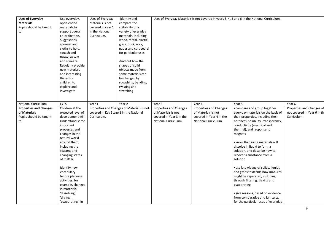| <b>Uses of Everyday</b><br><b>Materials</b><br>Pupils should be taught | Use everyday,<br>open-ended<br>materials to                                                                                                                                                                                                            | Uses of Everyday<br>Materials is not<br>covered in year 1 | -identify and<br>compare the<br>suitability of a                                                                                                                                                                                                                                                   |                               |                          | Uses of Everyday Materials is not covered in years 3, 4, 5 and 6 in the National Curriculum. |                             |
|------------------------------------------------------------------------|--------------------------------------------------------------------------------------------------------------------------------------------------------------------------------------------------------------------------------------------------------|-----------------------------------------------------------|----------------------------------------------------------------------------------------------------------------------------------------------------------------------------------------------------------------------------------------------------------------------------------------------------|-------------------------------|--------------------------|----------------------------------------------------------------------------------------------|-----------------------------|
| to:                                                                    | support overall<br>co-ordination.<br>Suggestions:<br>sponges and<br>cloths to hold,<br>squash and<br>throw, or wet<br>and squeeze.<br>Regularly provide<br>new materials<br>and interesting<br>things for<br>children to<br>explore and<br>investigate | in the National<br>Curriculum.                            | variety of everyday<br>materials, including<br>wood, metal, plastic,<br>glass, brick, rock,<br>paper and cardboard<br>for particular uses<br>-find out how the<br>shapes of solid<br>objects made from<br>some materials can<br>be changed by<br>squashing, bending,<br>twisting and<br>stretching |                               |                          |                                                                                              |                             |
| National Curriculum                                                    | <b>EYFS</b>                                                                                                                                                                                                                                            | Year 1                                                    | Year 2                                                                                                                                                                                                                                                                                             | Year 3                        | Year 4                   | Year 5                                                                                       | Year 6                      |
| <b>Properties and Changes</b>                                          | Children at the                                                                                                                                                                                                                                        |                                                           | Properties and Changes of Materials is not                                                                                                                                                                                                                                                         | <b>Properties and Changes</b> | Properties and Changes   | • compare and group together                                                                 | Properties and Changes of   |
| of Materials                                                           | expected level of                                                                                                                                                                                                                                      | covered in Key Stage 1 in the National                    |                                                                                                                                                                                                                                                                                                    | of Materials is not           | of Materials is not      | everyday materials on the basis of                                                           | not covered in Year 6 in th |
| Pupils should be taught                                                | development will:                                                                                                                                                                                                                                      | Curriculum.                                               |                                                                                                                                                                                                                                                                                                    | covered in Year 3 in the      | covered in Year 4 in the | their properties, including their                                                            | Curriculum.                 |
| to:                                                                    | Understand some                                                                                                                                                                                                                                        |                                                           |                                                                                                                                                                                                                                                                                                    | National Curriculum.          | National Curriculum.     | hardness, solubility, transparency,                                                          |                             |
|                                                                        | important                                                                                                                                                                                                                                              |                                                           |                                                                                                                                                                                                                                                                                                    |                               |                          | conductivity (electrical and                                                                 |                             |
|                                                                        | processes and                                                                                                                                                                                                                                          |                                                           |                                                                                                                                                                                                                                                                                                    |                               |                          | thermal), and response to                                                                    |                             |
|                                                                        | changes in the                                                                                                                                                                                                                                         |                                                           |                                                                                                                                                                                                                                                                                                    |                               |                          | magnets                                                                                      |                             |
|                                                                        | natural world                                                                                                                                                                                                                                          |                                                           |                                                                                                                                                                                                                                                                                                    |                               |                          |                                                                                              |                             |
|                                                                        | around them,                                                                                                                                                                                                                                           |                                                           |                                                                                                                                                                                                                                                                                                    |                               |                          | • know that some materials will                                                              |                             |
|                                                                        | including the                                                                                                                                                                                                                                          |                                                           |                                                                                                                                                                                                                                                                                                    |                               |                          | dissolve in liquid to form a                                                                 |                             |
|                                                                        | seasons and                                                                                                                                                                                                                                            |                                                           |                                                                                                                                                                                                                                                                                                    |                               |                          | solution, and describe how to                                                                |                             |
|                                                                        | changing states                                                                                                                                                                                                                                        |                                                           |                                                                                                                                                                                                                                                                                                    |                               |                          | recover a substance from a                                                                   |                             |
|                                                                        | of matter.                                                                                                                                                                                                                                             |                                                           |                                                                                                                                                                                                                                                                                                    |                               |                          | solution                                                                                     |                             |
|                                                                        |                                                                                                                                                                                                                                                        |                                                           |                                                                                                                                                                                                                                                                                                    |                               |                          |                                                                                              |                             |
|                                                                        | Identify new                                                                                                                                                                                                                                           |                                                           |                                                                                                                                                                                                                                                                                                    |                               |                          | • use knowledge of solids, liquids                                                           |                             |
|                                                                        | vocabulary                                                                                                                                                                                                                                             |                                                           |                                                                                                                                                                                                                                                                                                    |                               |                          | and gases to decide how mixtures                                                             |                             |
|                                                                        | before planning                                                                                                                                                                                                                                        |                                                           |                                                                                                                                                                                                                                                                                                    |                               |                          | might be separated, including                                                                |                             |
|                                                                        | activities, for                                                                                                                                                                                                                                        |                                                           |                                                                                                                                                                                                                                                                                                    |                               |                          | through filtering, sieving and                                                               |                             |
|                                                                        | example, changes                                                                                                                                                                                                                                       |                                                           |                                                                                                                                                                                                                                                                                                    |                               |                          | evaporating                                                                                  |                             |
|                                                                        | in materials:                                                                                                                                                                                                                                          |                                                           |                                                                                                                                                                                                                                                                                                    |                               |                          |                                                                                              |                             |
|                                                                        | 'dissolving',                                                                                                                                                                                                                                          |                                                           |                                                                                                                                                                                                                                                                                                    |                               |                          | · give reasons, based on evidence                                                            |                             |
|                                                                        | 'drying',                                                                                                                                                                                                                                              |                                                           |                                                                                                                                                                                                                                                                                                    |                               |                          | from comparative and fair tests,                                                             |                             |
|                                                                        | 'evaporating'; in                                                                                                                                                                                                                                      |                                                           |                                                                                                                                                                                                                                                                                                    |                               |                          | for the particular uses of everyday                                                          |                             |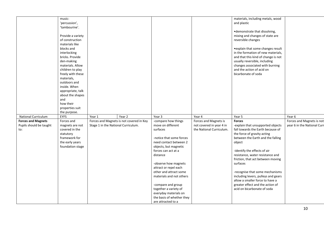|                           | music:                      |                                          |        |                                                    |                                                      | materials, including metals, wood   |                             |
|---------------------------|-----------------------------|------------------------------------------|--------|----------------------------------------------------|------------------------------------------------------|-------------------------------------|-----------------------------|
|                           | 'percussion',               |                                          |        |                                                    |                                                      | and plastic                         |                             |
|                           | 'tambourine'.               |                                          |        |                                                    |                                                      |                                     |                             |
|                           |                             |                                          |        |                                                    |                                                      | • demonstrate that dissolving,      |                             |
|                           | Provide a variety           |                                          |        |                                                    |                                                      | mixing and changes of state are     |                             |
|                           | of construction             |                                          |        |                                                    |                                                      | reversible changes                  |                             |
|                           | materials like              |                                          |        |                                                    |                                                      |                                     |                             |
|                           | blocks and                  |                                          |        |                                                    |                                                      | • explain that some changes result  |                             |
|                           | interlocking                |                                          |        |                                                    |                                                      | in the formation of new materials,  |                             |
|                           | bricks. Provide             |                                          |        |                                                    |                                                      | and that this kind of change is not |                             |
|                           | den-making                  |                                          |        |                                                    |                                                      | usually reversible, including       |                             |
|                           | materials. Allow            |                                          |        |                                                    |                                                      | changes associated with burning     |                             |
|                           | children to play            |                                          |        |                                                    |                                                      | and the action of acid on           |                             |
|                           | freely with these           |                                          |        |                                                    |                                                      | bicarbonate of soda                 |                             |
|                           | materials,                  |                                          |        |                                                    |                                                      |                                     |                             |
|                           | outdoors and                |                                          |        |                                                    |                                                      |                                     |                             |
|                           | inside. When                |                                          |        |                                                    |                                                      |                                     |                             |
|                           | appropriate, talk           |                                          |        |                                                    |                                                      |                                     |                             |
|                           | about the shapes            |                                          |        |                                                    |                                                      |                                     |                             |
|                           | and                         |                                          |        |                                                    |                                                      |                                     |                             |
|                           | how their                   |                                          |        |                                                    |                                                      |                                     |                             |
|                           | properties suit             |                                          |        |                                                    |                                                      |                                     |                             |
|                           | the purpose.                |                                          |        |                                                    |                                                      |                                     |                             |
| National Curriculum       | <b>EYFS</b>                 | Year 1                                   | Year 2 | Year 3                                             | Year 4                                               | Year 5                              | Year 6                      |
| <b>Forces and Magnets</b> | Forces and                  | Forces and Magnets is not covered in Key |        | -compare how things                                | Forces and Magnets is                                | <b>Forces</b>                       | Forces and Magnets is not   |
| Pupils should be taught   | magnets are not             |                                          |        |                                                    |                                                      |                                     |                             |
|                           |                             |                                          |        | move on different                                  |                                                      |                                     |                             |
| to:                       |                             | Stage 1 in the National Curriculum.      |        | surfaces                                           | not covered in year 4 in<br>the National Curriculum. | -explain that unsupported objects   |                             |
|                           | covered in the<br>statutory |                                          |        |                                                    |                                                      | fall towards the Earth because of   |                             |
|                           |                             |                                          |        |                                                    |                                                      | the force of gravity acting         |                             |
|                           | framework for               |                                          |        | -notice that some forces                           |                                                      | between the Earth and the falling   |                             |
|                           | the early years             |                                          |        | need contact between 2                             |                                                      | object                              |                             |
|                           | foundation stage            |                                          |        | objects, but magnetic                              |                                                      |                                     |                             |
|                           |                             |                                          |        | forces can act at a                                |                                                      | -identify the effects of air        |                             |
|                           |                             |                                          |        | distance                                           |                                                      | resistance, water resistance and    |                             |
|                           |                             |                                          |        |                                                    |                                                      | friction, that act between moving   |                             |
|                           |                             |                                          |        | -observe how magnets                               |                                                      | surfaces                            |                             |
|                           |                             |                                          |        | attract or repel each                              |                                                      |                                     |                             |
|                           |                             |                                          |        | other and attract some                             |                                                      | -recognise that some mechanisms     |                             |
|                           |                             |                                          |        | materials and not others                           |                                                      | including levers, pulleys and gears |                             |
|                           |                             |                                          |        |                                                    |                                                      | allow a smaller force to have a     |                             |
|                           |                             |                                          |        | -compare and group                                 |                                                      | greater effect and the action of    | year 6 in the National Curr |
|                           |                             |                                          |        | together a variety of                              |                                                      | acid on bicarbonate of soda         |                             |
|                           |                             |                                          |        | everyday materials on<br>the basis of whether they |                                                      |                                     |                             |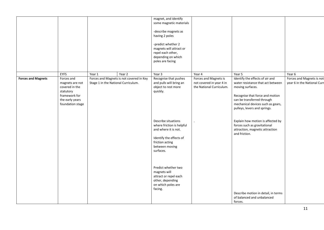|                           |                                                                                                                                     |                                               |                                                    | magnet, and identify<br>some magnetic materials<br>-describe magnets as<br>having 2 poles<br>-predict whether 2<br>magnets will attract or<br>repel each other,<br>depending on which<br>poles are facing |                                                                                         |                                                                                                                                                                                                                                          |                                                                    |
|---------------------------|-------------------------------------------------------------------------------------------------------------------------------------|-----------------------------------------------|----------------------------------------------------|-----------------------------------------------------------------------------------------------------------------------------------------------------------------------------------------------------------|-----------------------------------------------------------------------------------------|------------------------------------------------------------------------------------------------------------------------------------------------------------------------------------------------------------------------------------------|--------------------------------------------------------------------|
|                           |                                                                                                                                     |                                               |                                                    |                                                                                                                                                                                                           |                                                                                         |                                                                                                                                                                                                                                          |                                                                    |
| <b>Forces and Magnets</b> | <b>EYFS</b><br>Forces and<br>magnets are not<br>covered in the<br>statutory<br>framework for<br>the early years<br>foundation stage | Year 1<br>Stage 1 in the National Curriculum. | Year 2<br>Forces and Magnets is not covered in Key | Year 3<br>Recognise that pushes<br>and pulls will bring an<br>object to rest more<br>quickly.                                                                                                             | Year 4<br>Forces and Magnets is<br>not covered in year 4 in<br>the National Curriculum. | Year 5<br>Identify the effects of air and<br>water resistance that act between<br>moving surfaces.<br>Recognise that force and motion<br>can be transferred through<br>mechanical devices such as gears,<br>pulleys, levers and springs. | Year 6<br>Forces and Magnets is not<br>year 6 in the National Curr |
|                           |                                                                                                                                     |                                               |                                                    | Describe situations<br>where friction is helpful<br>and where it is not.<br>Identify the effects of<br>friction acting<br>between moving<br>surfaces.                                                     |                                                                                         | Explain how motion is affected by<br>forces such as gravitational<br>attraction, magnetic attraction<br>and friction.                                                                                                                    |                                                                    |
|                           |                                                                                                                                     |                                               |                                                    | Predict whether two<br>magnets will<br>attract or repel each<br>other, depending<br>on which poles are<br>facing.                                                                                         |                                                                                         | Describe motion in detail, in terms<br>of balanced and unbalanced<br>forces.                                                                                                                                                             |                                                                    |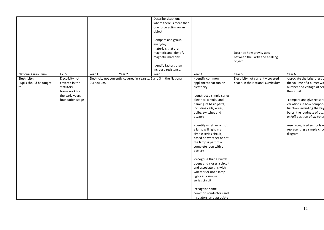|                                                |                                                                                                        |             |                                                                       | Describe situations<br>where there is more than<br>one force acting on an<br>object.                                                                 |                                                                                                                                                                                                                                                                                                                                                                                                                                                                                                                                                            |                                                                            |                                                                                                                                                                                                                                                                                                                                       |
|------------------------------------------------|--------------------------------------------------------------------------------------------------------|-------------|-----------------------------------------------------------------------|------------------------------------------------------------------------------------------------------------------------------------------------------|------------------------------------------------------------------------------------------------------------------------------------------------------------------------------------------------------------------------------------------------------------------------------------------------------------------------------------------------------------------------------------------------------------------------------------------------------------------------------------------------------------------------------------------------------------|----------------------------------------------------------------------------|---------------------------------------------------------------------------------------------------------------------------------------------------------------------------------------------------------------------------------------------------------------------------------------------------------------------------------------|
|                                                |                                                                                                        |             |                                                                       | Compare and group<br>everyday<br>materials that are<br>magnetic and identify<br>magnetic materials.<br>Identify factors than<br>increase resistance. |                                                                                                                                                                                                                                                                                                                                                                                                                                                                                                                                                            | Describe how gravity acts<br>between the Earth and a falling<br>object.    |                                                                                                                                                                                                                                                                                                                                       |
| National Curriculum                            | <b>EYFS</b>                                                                                            | Year 1      | Year 2                                                                | Year 3                                                                                                                                               | Year 4                                                                                                                                                                                                                                                                                                                                                                                                                                                                                                                                                     | Year 5                                                                     | Year 6                                                                                                                                                                                                                                                                                                                                |
| Electricity:<br>Pupils should be taught<br>to: | Electricity not<br>covered in the<br>statutory<br>framework for<br>the early years<br>foundation stage | Curriculum. | Electricity not currently covered in Years 1, 2 and 3 in the National |                                                                                                                                                      | -identify common<br>appliances that run on<br>electricity<br>-construct a simple series<br>electrical circuit, and<br>naming its basic parts,<br>including cells, wires,<br>bulbs, switches and<br>buzzers<br>-identify whether or not<br>a lamp will light in a<br>simple series circuit,<br>based on whether or not<br>the lamp is part of a<br>complete loop with a<br>battery<br>-recognise that a switch<br>opens and closes a circuit<br>and associate this with<br>whether or not a lamp<br>lights in a simple<br>series circuit<br>-recognise some | Electricity not currently covered in<br>Year 5 in the National Curriculum. | -associate the brightness o<br>the volume of a buzzer wit<br>number and voltage of cel<br>the circuit<br>-compare and give reasons<br>variations in how compone<br>function, including the brig<br>bulbs, the loudness of buz:<br>on/off position of switches<br>-use recognised symbols w<br>representing a simple circu<br>diagram. |
|                                                |                                                                                                        |             |                                                                       |                                                                                                                                                      | common conductors and<br>insulators, and associate                                                                                                                                                                                                                                                                                                                                                                                                                                                                                                         |                                                                            |                                                                                                                                                                                                                                                                                                                                       |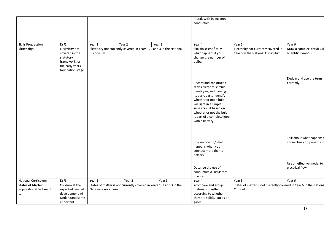|                                                            |                                                                                                        |                      |                                                                       |        | metals with being good<br>conductors.                                                                                                                                                                                                                                 |                                                                                   |                                                       |
|------------------------------------------------------------|--------------------------------------------------------------------------------------------------------|----------------------|-----------------------------------------------------------------------|--------|-----------------------------------------------------------------------------------------------------------------------------------------------------------------------------------------------------------------------------------------------------------------------|-----------------------------------------------------------------------------------|-------------------------------------------------------|
|                                                            |                                                                                                        |                      |                                                                       |        |                                                                                                                                                                                                                                                                       |                                                                                   |                                                       |
| <b>Skills Progression</b>                                  | EYFS                                                                                                   | Year 1               | Year 2                                                                | Year 3 | Year 4                                                                                                                                                                                                                                                                | Year 5                                                                            | Year 6                                                |
| Electricity:                                               | Electricity not<br>covered in the<br>statutory<br>framework for<br>the early years<br>foundation stage | Curriculum.          | Electricity not currently covered in Years 1, 2 and 3 in the National |        | Explain scientifically<br>what happens if you<br>change the number of<br>bulbs.                                                                                                                                                                                       | Electricity not currently covered in<br>Year 5 in the National Curriculum.        | Draw a complex circuit usi<br>scientific symbols.     |
|                                                            |                                                                                                        |                      |                                                                       |        | Record and construct a<br>series electrical circuit,<br>identifying and naming<br>its basic parts. Identify<br>whether or not a bulb<br>will light in a simple<br>series circuit based on<br>whether or not the bulb<br>is part of a complete loop<br>with a battery. |                                                                                   | Explain and use the term r<br>correctly.              |
|                                                            |                                                                                                        |                      |                                                                       |        | Explain how to/what<br>happens when you<br>connect more than 1<br>battery.                                                                                                                                                                                            |                                                                                   | Talk about what happens v<br>connecting components in |
|                                                            |                                                                                                        |                      |                                                                       |        | Describe the use of<br>conductors & insulators<br>in wires.                                                                                                                                                                                                           |                                                                                   | Use an effective model to<br>electrical flow.         |
| National Curriculum                                        | <b>EYFS</b>                                                                                            | Year 1               | Year 2                                                                | Year 3 | Year 4                                                                                                                                                                                                                                                                | Year 5                                                                            | Year 6                                                |
| <b>States of Matter:</b><br>Pupils should be taught<br>to: | Children at the<br>expected level of<br>development will:<br>Understand some<br>important              | National Curriculum. | States of matter is not currently covered in Years 1, 2 and 3 in the  |        | • compare and group<br>materials together,<br>according to whether<br>they are solids, liquids or<br>gases                                                                                                                                                            | States of matter is not currently covered in Year 6 in the Nationa<br>Curriculum. |                                                       |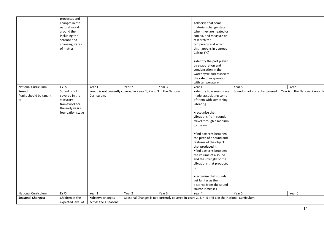|                                          | processes and<br>changes in the<br>natural world<br>around them,<br>including the<br>seasons and<br>changing states<br>of matter. |                                           |                                                                              |        | .observe that some<br>materials change state<br>when they are heated or<br>cooled, and measure or<br>research the<br>temperature at which<br>this happens in degrees<br>Celsius (°C)<br>•identify the part played<br>by evaporation and<br>condensation in the<br>water cycle and associate<br>the rate of evaporation<br>with temperature                                                                                                                             |                                                                    |        |
|------------------------------------------|-----------------------------------------------------------------------------------------------------------------------------------|-------------------------------------------|------------------------------------------------------------------------------|--------|------------------------------------------------------------------------------------------------------------------------------------------------------------------------------------------------------------------------------------------------------------------------------------------------------------------------------------------------------------------------------------------------------------------------------------------------------------------------|--------------------------------------------------------------------|--------|
| National Curriculum                      | <b>EYFS</b><br>Sound is not                                                                                                       | Year 1                                    | Year 2<br>Sound is not currently covered in Years 1, 2 and 3 in the National | Year 3 | Year 4<br>•identify how sounds are                                                                                                                                                                                                                                                                                                                                                                                                                                     | Year 5                                                             | Year 6 |
| Sound:<br>Pupils should be taught<br>to: | covered in the<br>statutory<br>framework for<br>the early years<br>foundation stage                                               | Curriculum.                               |                                                                              |        | made, associating some<br>of them with something<br>vibrating<br>•recognise that<br>vibrations from sounds<br>travel through a medium<br>to the ear<br>•find patterns between<br>the pitch of a sound and<br>features of the object<br>that produced it<br>•find patterns between<br>the volume of a sound<br>and the strength of the<br>vibrations that produced<br>it<br>•recognise that sounds<br>get fainter as the<br>distance from the sound<br>source increases | Sound is not currently covered in Year 6 in the National Curriculu |        |
| National Curriculum                      | <b>EYFS</b>                                                                                                                       | Year 1                                    | Year 2                                                                       | Year 3 | Year 4                                                                                                                                                                                                                                                                                                                                                                                                                                                                 | Year 5                                                             | Year 6 |
| <b>Seasonal Changes:</b>                 | Children at the<br>expected level of                                                                                              | • observe changes<br>across the 4 seasons |                                                                              |        | Seasonal Changes is not currently covered in Years 2, 3, 4, 5 and 6 in the National Curriculum.                                                                                                                                                                                                                                                                                                                                                                        |                                                                    |        |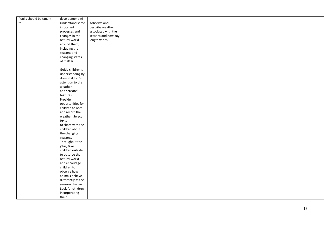| Pupils should be taught | development will:  |                     |  |
|-------------------------|--------------------|---------------------|--|
| to:                     | Understand some    | •observe and        |  |
|                         | important          | describe weather    |  |
|                         | processes and      | associated with the |  |
|                         | changes in the     | seasons and how day |  |
|                         | natural world      | length varies       |  |
|                         | around them,       |                     |  |
|                         | including the      |                     |  |
|                         | seasons and        |                     |  |
|                         | changing states    |                     |  |
|                         | of matter.         |                     |  |
|                         | Guide children's   |                     |  |
|                         | understanding by   |                     |  |
|                         | draw children's    |                     |  |
|                         | attention to the   |                     |  |
|                         | weather            |                     |  |
|                         | and seasonal       |                     |  |
|                         | features.          |                     |  |
|                         | Provide            |                     |  |
|                         | opportunities for  |                     |  |
|                         | children to note   |                     |  |
|                         | and record the     |                     |  |
|                         | weather. Select    |                     |  |
|                         | texts              |                     |  |
|                         | to share with the  |                     |  |
|                         | children about     |                     |  |
|                         | the changing       |                     |  |
|                         | seasons.           |                     |  |
|                         | Throughout the     |                     |  |
|                         | year, take         |                     |  |
|                         | children outside   |                     |  |
|                         | to observe the     |                     |  |
|                         | natural world      |                     |  |
|                         | and encourage      |                     |  |
|                         | children to        |                     |  |
|                         | observe how        |                     |  |
|                         | animals behave     |                     |  |
|                         | differently as the |                     |  |
|                         | seasons change.    |                     |  |
|                         | Look for children  |                     |  |
|                         | incorporating      |                     |  |
|                         | their              |                     |  |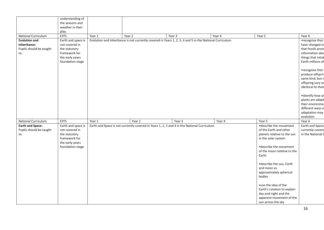|                                                                        | understanding of<br>the seasons and<br>weather in their<br>play.                                              |        |        |                                                                                                          |        |                                                                                                                                                                                                                                                                                                                                                                                            |                                                                                                                                                                                                                                                                                                                              |
|------------------------------------------------------------------------|---------------------------------------------------------------------------------------------------------------|--------|--------|----------------------------------------------------------------------------------------------------------|--------|--------------------------------------------------------------------------------------------------------------------------------------------------------------------------------------------------------------------------------------------------------------------------------------------------------------------------------------------------------------------------------------------|------------------------------------------------------------------------------------------------------------------------------------------------------------------------------------------------------------------------------------------------------------------------------------------------------------------------------|
| <b>National Curriculum</b>                                             | <b>EYFS</b>                                                                                                   | Year 1 | Year 2 | Year 3                                                                                                   | Year 4 | Year 5                                                                                                                                                                                                                                                                                                                                                                                     | Year 6                                                                                                                                                                                                                                                                                                                       |
| <b>Evolution and</b><br>Inheritance:<br>Pupils should be taught<br>to: | Earth and space is<br>not covered in<br>the statutory<br>framework for<br>the early years<br>foundation stage |        |        | Evolution and Inheritance is not currently covered in Years 1, 2, 3, 4 and 5 in the National Curriculum. |        |                                                                                                                                                                                                                                                                                                                                                                                            | •recognise that<br>have changed ov<br>that fossils provi<br>information abo<br>things that inhal<br>Earth millions of<br>•recognise that<br>produce offsprin<br>same kind, but n<br>offspring vary ar<br>identical to their<br>•identify how ar<br>plants are adapt<br>their environme<br>different ways a<br>adaptation may |
| National Curriculum                                                    | <b>EYFS</b>                                                                                                   | Year 1 | Year 2 | Year 3                                                                                                   | Year 4 | Year 5                                                                                                                                                                                                                                                                                                                                                                                     | evolution<br>Year 6                                                                                                                                                                                                                                                                                                          |
| <b>Earth and Space:</b><br>Pupils should be taught<br>to:              | Earth and space is<br>not covered in<br>the statutory<br>framework for<br>the early years<br>foundation stage |        |        | Earth and Space is not currently covered in Years 1, 2, 3 and 4 in the National Curriculum.              |        | ·describe the movement<br>of the Earth and other<br>planets relative to the sun<br>in the solar system<br>·describe the movement<br>of the moon relative to the<br>Earth<br>·describe the sun, Earth<br>and moon as<br>approximately spherical<br>bodies<br>•use the idea of the<br>Earth's rotation to explain<br>day and night and the<br>apparent movement of the<br>sun across the sky | <b>Earth and Space</b><br>currently covere<br>in the National C                                                                                                                                                                                                                                                              |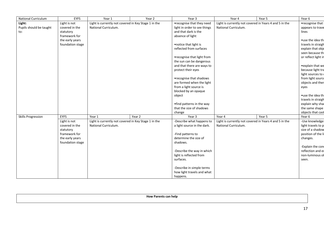| <b>National Curriculum</b> | <b>EYFS</b>      | Year 1                                               | Year 2 | Year 3                       | Year 4                                                 | Year 5 | Year 6              |
|----------------------------|------------------|------------------------------------------------------|--------|------------------------------|--------------------------------------------------------|--------|---------------------|
| Light:                     | Light is not     | Light is currently not covered in Key Stage 1 in the |        | •recognise that they need    | Light is currently not covered in Years 4 and 5 in the |        | •recognise that     |
| Pupils should be taught    | covered in the   | National Curriculum.                                 |        | light in order to see things | National Curriculum.                                   |        | appears to trave    |
| to:                        | statutory        |                                                      |        | and that dark is the         |                                                        |        | lines               |
|                            | framework for    |                                                      |        | absence of light             |                                                        |        |                     |
|                            | the early years  |                                                      |        |                              |                                                        |        | •use the idea thi   |
|                            | foundation stage |                                                      |        | • notice that light is       |                                                        |        | travels in straigh  |
|                            |                  |                                                      |        | reflected from surfaces      |                                                        |        | explain that obje   |
|                            |                  |                                                      |        |                              |                                                        |        | seen because th     |
|                            |                  |                                                      |        | •recognise that light from   |                                                        |        | or reflect light in |
|                            |                  |                                                      |        | the sun can be dangerous     |                                                        |        |                     |
|                            |                  |                                                      |        | and that there are ways to   |                                                        |        | • explain that we   |
|                            |                  |                                                      |        | protect their eyes           |                                                        |        | because light tra   |
|                            |                  |                                                      |        |                              |                                                        |        | light sources to    |
|                            |                  |                                                      |        | •recognise that shadows      |                                                        |        | from light source   |
|                            |                  |                                                      |        | are formed when the light    |                                                        |        | objects and ther    |
|                            |                  |                                                      |        | from a light source is       |                                                        |        | eyes                |
|                            |                  |                                                      |        | blocked by an opaque         |                                                        |        |                     |
|                            |                  |                                                      |        | object                       |                                                        |        | •use the idea the   |
|                            |                  |                                                      |        |                              |                                                        |        | travels in straigh  |
|                            |                  |                                                      |        | •find patterns in the way    |                                                        |        | explain why shad    |
|                            |                  |                                                      |        | that the size of shadows     |                                                        |        | the same shape      |
|                            |                  |                                                      |        | change                       |                                                        |        | objects that cast   |
| <b>Skills Progression</b>  | <b>EYFS</b>      | Year 1                                               | Year 2 | Year 3                       | Year 4                                                 | Year 5 | Year 6              |
|                            | Light is not     | Light is currently not covered in Key Stage 1 in the |        | -Describe what happens to    | Light is currently not covered in Years 4 and 5 in the |        | -Use knowledge      |
|                            | covered in the   | National Curriculum.                                 |        | a light source in the dark.  | National Curriculum.                                   |        | light travels to p  |
|                            | statutory        |                                                      |        |                              |                                                        |        | size of a shadow    |
|                            | framework for    |                                                      |        | -Find patterns to            |                                                        |        | position of the li  |
|                            | the early years  |                                                      |        | determine the size of        |                                                        |        | changes.            |
|                            | foundation stage |                                                      |        | shadows.                     |                                                        |        |                     |
|                            |                  |                                                      |        |                              |                                                        |        | -Explain the con    |
|                            |                  |                                                      |        | -Describe the way in which   |                                                        |        | reflection and ex   |
|                            |                  |                                                      |        | light is reflected from      |                                                        |        | non-luminous of     |
|                            |                  |                                                      |        | surfaces.                    |                                                        |        | seen.               |
|                            |                  |                                                      |        | -Describe in simple terms    |                                                        |        |                     |
|                            |                  |                                                      |        | how light travels and what   |                                                        |        |                     |
|                            |                  |                                                      |        | happens.                     |                                                        |        |                     |

| <b>How Parents can help</b> |  |
|-----------------------------|--|
|                             |  |
|                             |  |
|                             |  |
|                             |  |